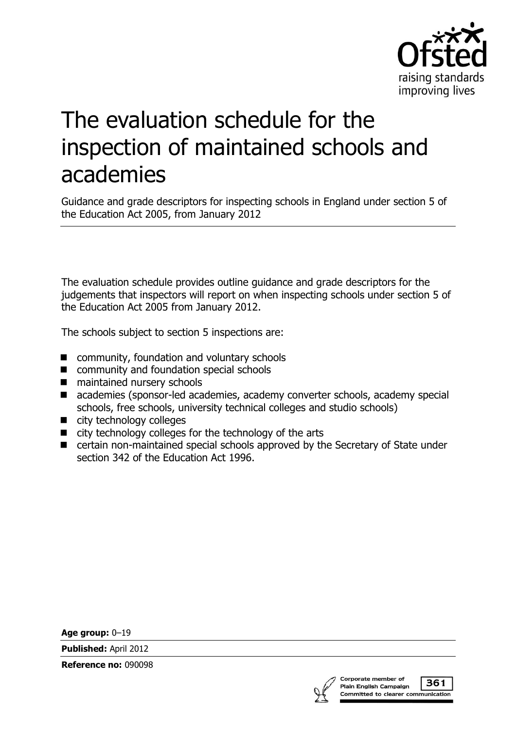

# The evaluation schedule for the inspection of maintained schools and academies

Guidance and grade descriptors for inspecting schools in England under section 5 of the Education Act 2005, from January 2012

The evaluation schedule provides outline guidance and grade descriptors for the judgements that inspectors will report on when inspecting schools under section 5 of the Education Act 2005 from January 2012.

The schools subject to section 5 inspections are:

- community, foundation and voluntary schools
- community and foundation special schools
- maintained nursery schools
- academies (sponsor-led academies, academy converter schools, academy special schools, free schools, university technical colleges and studio schools)
- city technology colleges
- city technology colleges for the technology of the arts
- certain non-maintained special schools approved by the Secretary of State under section 342 of the Education Act 1996.

**Age group:** 0–19

**Published:** April 2012

**Reference no:** 090098



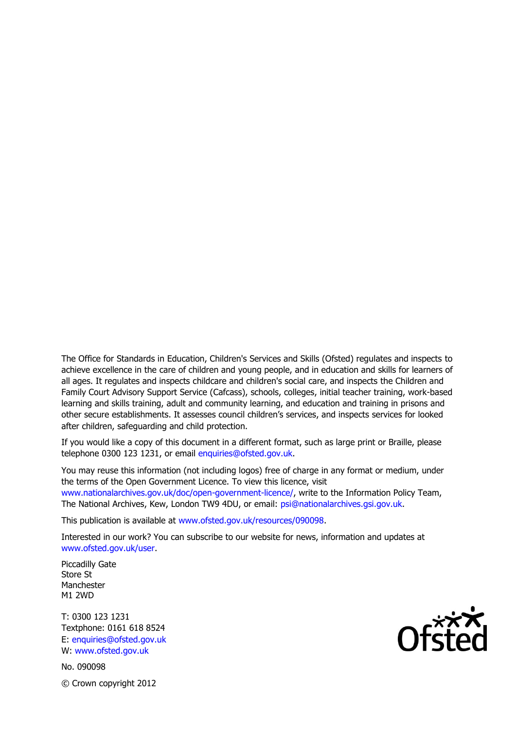The Office for Standards in Education, Children's Services and Skills (Ofsted) regulates and inspects to achieve excellence in the care of children and young people, and in education and skills for learners of all ages. It regulates and inspects childcare and children's social care, and inspects the Children and Family Court Advisory Support Service (Cafcass), schools, colleges, initial teacher training, work-based learning and skills training, adult and community learning, and education and training in prisons and other secure establishments. It assesses council children's services, and inspects services for looked after children, safeguarding and child protection.

If you would like a copy of this document in a different format, such as large print or Braille, please telephone 0300 123 1231, or email enquiries@ofsted.gov.uk.

You may reuse this information (not including logos) free of charge in any format or medium, under the terms of the Open Government Licence. To view this licence, visit www.nationalarchives.gov.uk/doc/open-government-licence/, write to the Information Policy Team, The National Archives, Kew, London TW9 4DU, or email: psi@nationalarchives.gsi.gov.uk.

This publication is available at www.ofsted.gov.uk/resources/090098.

Interested in our work? You can subscribe to our website for news, information and updates at www.ofsted.gov.uk/user.

Piccadilly Gate Store St Manchester M1 2WD

T: 0300 123 1231 Textphone: 0161 618 8524 E: enquiries@ofsted.gov.uk W: www.ofsted.gov.uk

No. 090098 © Crown copyright 2012

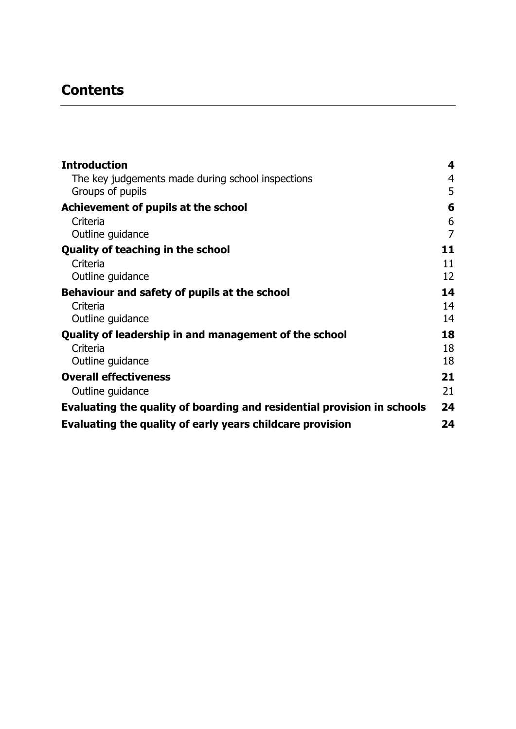# **Contents**

| <b>Introduction</b>                                                     | 4              |
|-------------------------------------------------------------------------|----------------|
| The key judgements made during school inspections<br>Groups of pupils   | 4<br>5         |
| Achievement of pupils at the school                                     | 6              |
| Criteria                                                                | 6              |
| Outline guidance                                                        | $\overline{7}$ |
| <b>Quality of teaching in the school</b>                                | 11             |
| Criteria                                                                | 11             |
| Outline guidance                                                        | 12             |
| Behaviour and safety of pupils at the school                            | 14             |
| Criteria                                                                | 14             |
| Outline guidance                                                        | 14             |
| Quality of leadership in and management of the school                   | 18             |
| Criteria                                                                | 18             |
| Outline guidance                                                        | 18             |
| <b>Overall effectiveness</b>                                            | 21             |
| Outline guidance                                                        | 21             |
| Evaluating the quality of boarding and residential provision in schools | 24             |
| Evaluating the quality of early years childcare provision               | 24             |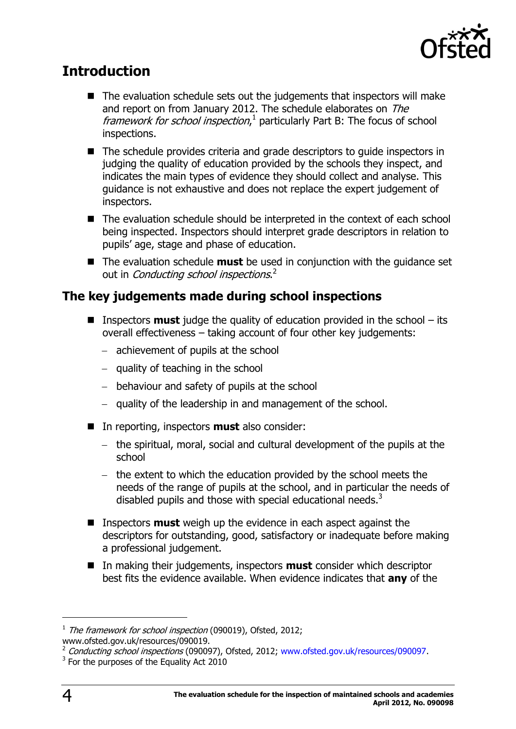

# <span id="page-3-0"></span>**Introduction**

- $\blacksquare$  The evaluation schedule sets out the judgements that inspectors will make and report on from January 2012. The schedule elaborates on The framework for school inspection,<sup>1</sup> particularly Part B: The focus of school inspections.
- The schedule provides criteria and grade descriptors to quide inspectors in judging the quality of education provided by the schools they inspect, and indicates the main types of evidence they should collect and analyse. This guidance is not exhaustive and does not replace the expert judgement of inspectors.
- The evaluation schedule should be interpreted in the context of each school being inspected. Inspectors should interpret grade descriptors in relation to pupils' age, stage and phase of education.
- The evaluation schedule **must** be used in conjunction with the guidance set out in *Conducting school inspections*.<sup>2</sup>

#### <span id="page-3-1"></span>**The key judgements made during school inspections**

- Inspectors **must** judge the quality of education provided in the school its overall effectiveness – taking account of four other key judgements:
	- $-$  achievement of pupils at the school
	- $-$  quality of teaching in the school
	- behaviour and safety of pupils at the school
	- $-$  quality of the leadership in and management of the school.
- In reporting, inspectors **must** also consider:
	- the spiritual, moral, social and cultural development of the pupils at the school
	- $-$  the extent to which the education provided by the school meets the needs of the range of pupils at the school, and in particular the needs of disabled pupils and those with special educational needs. $3$
- Inspectors **must** weigh up the evidence in each aspect against the descriptors for outstanding, good, satisfactory or inadequate before making a professional judgement.
- In making their judgements, inspectors **must** consider which descriptor best fits the evidence available. When evidence indicates that **any** of the

<sup>&</sup>lt;sup>1</sup> The framework for school inspection (090019), Ofsted, 2012;

www.ofsted.gov.uk/resources/090019.

<sup>&</sup>lt;sup>2</sup> Conducting school inspections (090097), Ofsted, 2012; [www.ofsted.gov.uk/resources/090097.](http://www.ofsted.gov.uk/resources/090097)

 $3$  For the purposes of the Equality Act 2010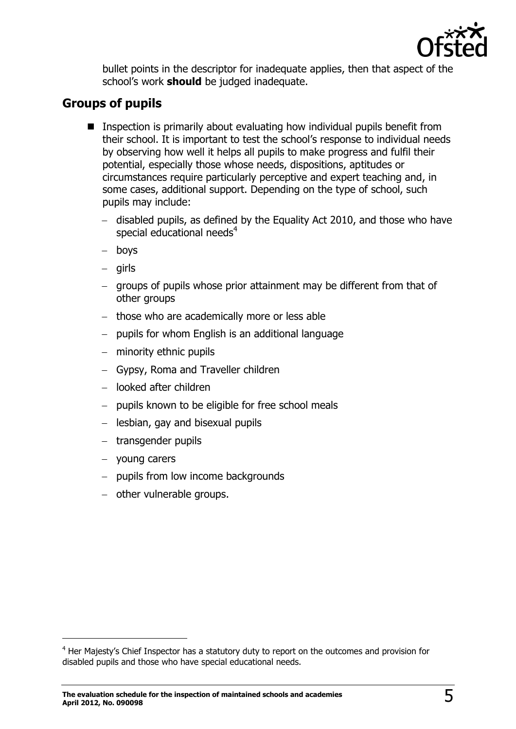

bullet points in the descriptor for inadequate applies, then that aspect of the school's work **should** be judged inadequate.

#### <span id="page-4-0"></span>**Groups of pupils**

- **IF** Inspection is primarily about evaluating how individual pupils benefit from their school. It is important to test the school's response to individual needs by observing how well it helps all pupils to make progress and fulfil their potential, especially those whose needs, dispositions, aptitudes or circumstances require particularly perceptive and expert teaching and, in some cases, additional support. Depending on the type of school, such pupils may include:
	- disabled pupils, as defined by the Equality Act 2010, and those who have special educational needs<sup>4</sup>
	- boys
	- girls
	- groups of pupils whose prior attainment may be different from that of other groups
	- $-$  those who are academically more or less able
	- $-$  pupils for whom English is an additional language
	- minority ethnic pupils
	- Gypsy, Roma and Traveller children
	- looked after children
	- pupils known to be eligible for free school meals
	- lesbian, gay and bisexual pupils
	- transgender pupils
	- young carers

- pupils from low income backgrounds
- other vulnerable groups.

<sup>&</sup>lt;sup>4</sup> Her Maiesty's Chief Inspector has a statutory duty to report on the outcomes and provision for disabled pupils and those who have special educational needs.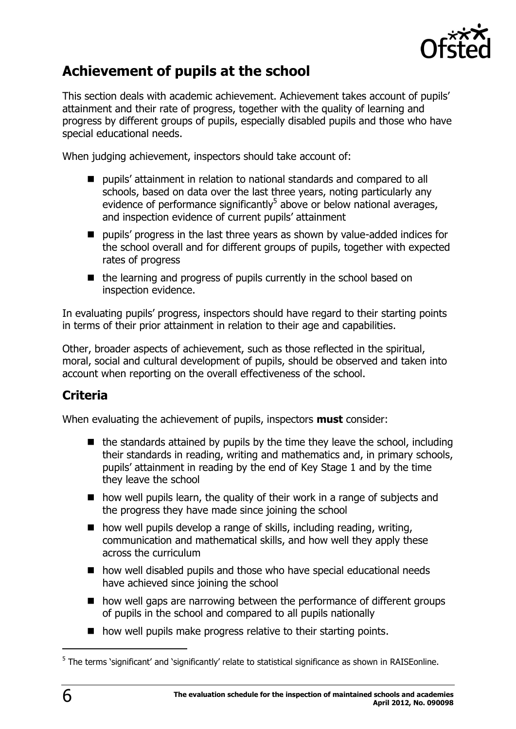

# <span id="page-5-0"></span>**Achievement of pupils at the school**

This section deals with academic achievement. Achievement takes account of pupils' attainment and their rate of progress, together with the quality of learning and progress by different groups of pupils, especially disabled pupils and those who have special educational needs.

When judging achievement, inspectors should take account of:

- pupils' attainment in relation to national standards and compared to all schools, based on data over the last three years, noting particularly any evidence of performance significantly<sup>5</sup> above or below national averages, and inspection evidence of current pupils' attainment
- **P** pupils' progress in the last three years as shown by value-added indices for the school overall and for different groups of pupils, together with expected rates of progress
- the learning and progress of pupils currently in the school based on inspection evidence.

In evaluating pupils' progress, inspectors should have regard to their starting points in terms of their prior attainment in relation to their age and capabilities.

Other, broader aspects of achievement, such as those reflected in the spiritual, moral, social and cultural development of pupils, should be observed and taken into account when reporting on the overall effectiveness of the school.

# <span id="page-5-1"></span>**Criteria**

When evaluating the achievement of pupils, inspectors **must** consider:

- $\blacksquare$  the standards attained by pupils by the time they leave the school, including their standards in reading, writing and mathematics and, in primary schools, pupils' attainment in reading by the end of Key Stage 1 and by the time they leave the school
- how well pupils learn, the quality of their work in a range of subjects and the progress they have made since joining the school
- $\blacksquare$  how well pupils develop a range of skills, including reading, writing, communication and mathematical skills, and how well they apply these across the curriculum
- how well disabled pupils and those who have special educational needs have achieved since joining the school
- how well gaps are narrowing between the performance of different groups of pupils in the school and compared to all pupils nationally
- $\blacksquare$  how well pupils make progress relative to their starting points.

<sup>&</sup>lt;sup>5</sup> The terms 'significant' and 'significantly' relate to statistical significance as shown in RAISEonline.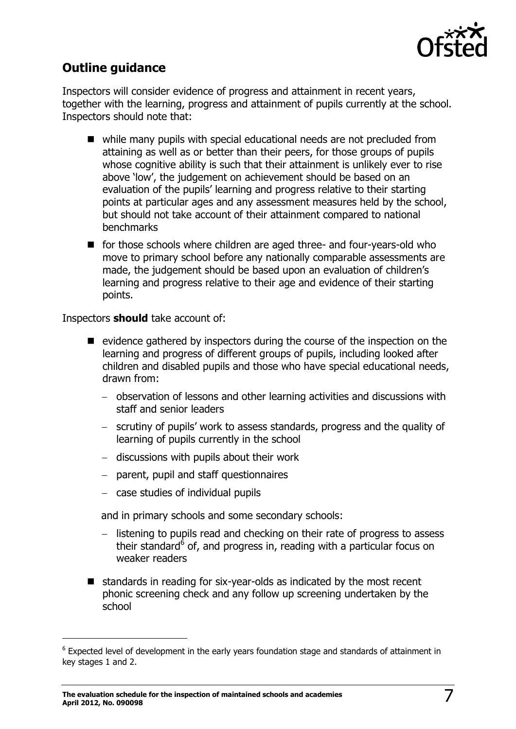

## <span id="page-6-0"></span>**Outline guidance**

Inspectors will consider evidence of progress and attainment in recent years, together with the learning, progress and attainment of pupils currently at the school. Inspectors should note that:

- while many pupils with special educational needs are not precluded from attaining as well as or better than their peers, for those groups of pupils whose cognitive ability is such that their attainment is unlikely ever to rise above 'low', the judgement on achievement should be based on an evaluation of the pupils' learning and progress relative to their starting points at particular ages and any assessment measures held by the school, but should not take account of their attainment compared to national benchmarks
- for those schools where children are aged three- and four-years-old who move to primary school before any nationally comparable assessments are made, the judgement should be based upon an evaluation of children's learning and progress relative to their age and evidence of their starting points.

Inspectors **should** take account of:

-

- $\blacksquare$  evidence gathered by inspectors during the course of the inspection on the learning and progress of different groups of pupils, including looked after children and disabled pupils and those who have special educational needs, drawn from:
	- observation of lessons and other learning activities and discussions with staff and senior leaders
	- scrutiny of pupils' work to assess standards, progress and the quality of learning of pupils currently in the school
	- $-$  discussions with pupils about their work
	- parent, pupil and staff questionnaires
	- case studies of individual pupils

and in primary schools and some secondary schools:

- listening to pupils read and checking on their rate of progress to assess their standard<sup>6</sup> of, and progress in, reading with a particular focus on weaker readers
- $\blacksquare$  standards in reading for six-year-olds as indicated by the most recent phonic screening check and any follow up screening undertaken by the school

 $6$  Expected level of development in the early years foundation stage and standards of attainment in key stages 1 and 2.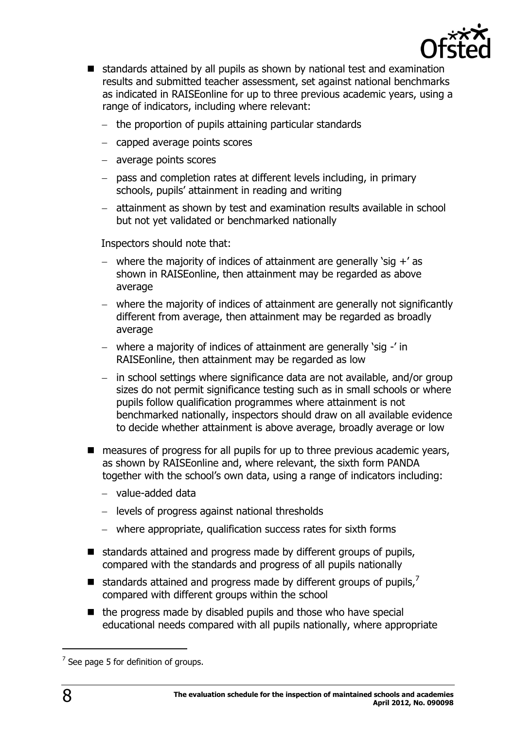

- standards attained by all pupils as shown by national test and examination results and submitted teacher assessment, set against national benchmarks as indicated in RAISEonline for up to three previous academic years, using a range of indicators, including where relevant:
	- the proportion of pupils attaining particular standards
	- capped average points scores
	- average points scores
	- $-$  pass and completion rates at different levels including, in primary schools, pupils' attainment in reading and writing
	- attainment as shown by test and examination results available in school but not yet validated or benchmarked nationally

Inspectors should note that:

- where the majority of indices of attainment are generally 'sig  $+$ ' as shown in RAISEonline, then attainment may be regarded as above average
- where the majority of indices of attainment are generally not significantly different from average, then attainment may be regarded as broadly average
- where a majority of indices of attainment are generally 'sig -' in RAISEonline, then attainment may be regarded as low
- $-$  in school settings where significance data are not available, and/or group sizes do not permit significance testing such as in small schools or where pupils follow qualification programmes where attainment is not benchmarked nationally, inspectors should draw on all available evidence to decide whether attainment is above average, broadly average or low
- measures of progress for all pupils for up to three previous academic years, as shown by RAISEonline and, where relevant, the sixth form PANDA together with the school's own data, using a range of indicators including:
	- value-added data
	- levels of progress against national thresholds
	- where appropriate, qualification success rates for sixth forms
- standards attained and progress made by different groups of pupils, compared with the standards and progress of all pupils nationally
- $\blacksquare$  standards attained and progress made by different groups of pupils,<sup>7</sup> compared with different groups within the school
- $\blacksquare$  the progress made by disabled pupils and those who have special educational needs compared with all pupils nationally, where appropriate

 $<sup>7</sup>$  See page 5 for definition of groups.</sup>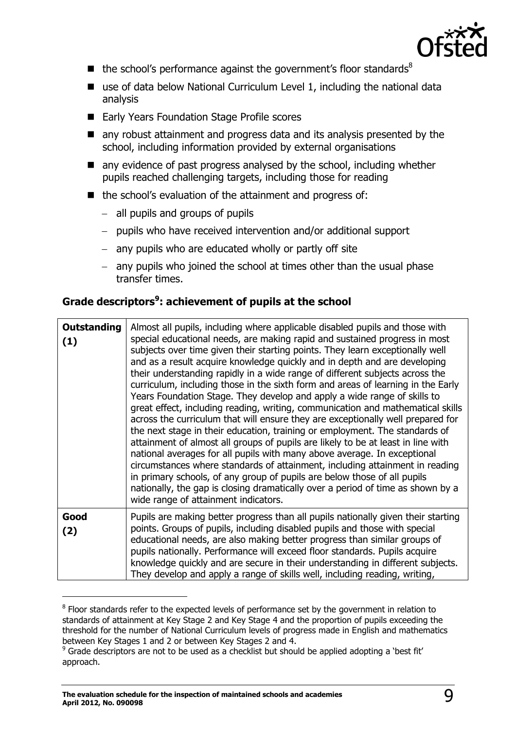

- $\blacksquare$  the school's performance against the government's floor standards<sup>8</sup>
- $\blacksquare$  use of data below National Curriculum Level 1, including the national data analysis
- Early Years Foundation Stage Profile scores
- any robust attainment and progress data and its analysis presented by the school, including information provided by external organisations
- any evidence of past progress analysed by the school, including whether pupils reached challenging targets, including those for reading
- the school's evaluation of the attainment and progress of:
	- all pupils and groups of pupils
	- $-$  pupils who have received intervention and/or additional support
	- $-$  any pupils who are educated wholly or partly off site
	- $-$  any pupils who joined the school at times other than the usual phase transfer times.

#### **Grade descriptors<sup>9</sup> : achievement of pupils at the school**

| <b>Outstanding</b><br>(1) | Almost all pupils, including where applicable disabled pupils and those with<br>special educational needs, are making rapid and sustained progress in most<br>subjects over time given their starting points. They learn exceptionally well<br>and as a result acquire knowledge quickly and in depth and are developing<br>their understanding rapidly in a wide range of different subjects across the<br>curriculum, including those in the sixth form and areas of learning in the Early<br>Years Foundation Stage. They develop and apply a wide range of skills to<br>great effect, including reading, writing, communication and mathematical skills<br>across the curriculum that will ensure they are exceptionally well prepared for<br>the next stage in their education, training or employment. The standards of<br>attainment of almost all groups of pupils are likely to be at least in line with<br>national averages for all pupils with many above average. In exceptional<br>circumstances where standards of attainment, including attainment in reading<br>in primary schools, of any group of pupils are below those of all pupils<br>nationally, the gap is closing dramatically over a period of time as shown by a<br>wide range of attainment indicators. |
|---------------------------|--------------------------------------------------------------------------------------------------------------------------------------------------------------------------------------------------------------------------------------------------------------------------------------------------------------------------------------------------------------------------------------------------------------------------------------------------------------------------------------------------------------------------------------------------------------------------------------------------------------------------------------------------------------------------------------------------------------------------------------------------------------------------------------------------------------------------------------------------------------------------------------------------------------------------------------------------------------------------------------------------------------------------------------------------------------------------------------------------------------------------------------------------------------------------------------------------------------------------------------------------------------------------------------|
| Good<br>(2)               | Pupils are making better progress than all pupils nationally given their starting<br>points. Groups of pupils, including disabled pupils and those with special<br>educational needs, are also making better progress than similar groups of<br>pupils nationally. Performance will exceed floor standards. Pupils acquire<br>knowledge quickly and are secure in their understanding in different subjects.<br>They develop and apply a range of skills well, including reading, writing,                                                                                                                                                                                                                                                                                                                                                                                                                                                                                                                                                                                                                                                                                                                                                                                           |

 $8$  Floor standards refer to the expected levels of performance set by the government in relation to standards of attainment at Key Stage 2 and Key Stage 4 and the proportion of pupils exceeding the threshold for the number of National Curriculum levels of progress made in English and mathematics between Key Stages 1 and 2 or between Key Stages 2 and 4.

<sup>&</sup>lt;sup>9</sup> Grade descriptors are not to be used as a checklist but should be applied adopting a 'best fit' approach.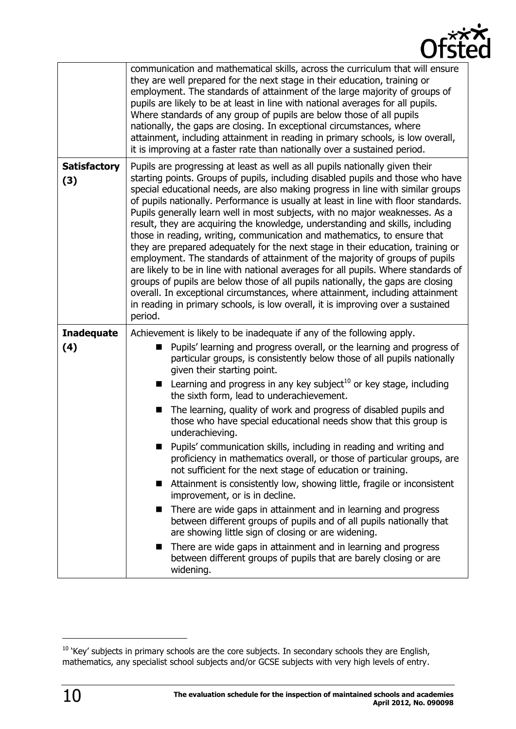

|                            | communication and mathematical skills, across the curriculum that will ensure<br>they are well prepared for the next stage in their education, training or<br>employment. The standards of attainment of the large majority of groups of<br>pupils are likely to be at least in line with national averages for all pupils.<br>Where standards of any group of pupils are below those of all pupils<br>nationally, the gaps are closing. In exceptional circumstances, where<br>attainment, including attainment in reading in primary schools, is low overall,<br>it is improving at a faster rate than nationally over a sustained period.                                                                                                                                                                                                                                                                                                                                                                                                                                                                                                                                                                                                             |
|----------------------------|----------------------------------------------------------------------------------------------------------------------------------------------------------------------------------------------------------------------------------------------------------------------------------------------------------------------------------------------------------------------------------------------------------------------------------------------------------------------------------------------------------------------------------------------------------------------------------------------------------------------------------------------------------------------------------------------------------------------------------------------------------------------------------------------------------------------------------------------------------------------------------------------------------------------------------------------------------------------------------------------------------------------------------------------------------------------------------------------------------------------------------------------------------------------------------------------------------------------------------------------------------|
| <b>Satisfactory</b><br>(3) | Pupils are progressing at least as well as all pupils nationally given their<br>starting points. Groups of pupils, including disabled pupils and those who have<br>special educational needs, are also making progress in line with similar groups<br>of pupils nationally. Performance is usually at least in line with floor standards.<br>Pupils generally learn well in most subjects, with no major weaknesses. As a<br>result, they are acquiring the knowledge, understanding and skills, including<br>those in reading, writing, communication and mathematics, to ensure that<br>they are prepared adequately for the next stage in their education, training or<br>employment. The standards of attainment of the majority of groups of pupils<br>are likely to be in line with national averages for all pupils. Where standards of<br>groups of pupils are below those of all pupils nationally, the gaps are closing<br>overall. In exceptional circumstances, where attainment, including attainment<br>in reading in primary schools, is low overall, it is improving over a sustained<br>period.                                                                                                                                         |
| <b>Inadequate</b><br>(4)   | Achievement is likely to be inadequate if any of the following apply.<br>Pupils' learning and progress overall, or the learning and progress of<br>particular groups, is consistently below those of all pupils nationally<br>given their starting point.<br><b>E</b> Learning and progress in any key subject <sup>10</sup> or key stage, including<br>the sixth form, lead to underachievement.<br>The learning, quality of work and progress of disabled pupils and<br>those who have special educational needs show that this group is<br>underachieving.<br>Pupils' communication skills, including in reading and writing and<br>proficiency in mathematics overall, or those of particular groups, are<br>not sufficient for the next stage of education or training.<br>Attainment is consistently low, showing little, fragile or inconsistent<br>■<br>improvement, or is in decline.<br>There are wide gaps in attainment and in learning and progress<br>■<br>between different groups of pupils and of all pupils nationally that<br>are showing little sign of closing or are widening.<br>There are wide gaps in attainment and in learning and progress<br>between different groups of pupils that are barely closing or are<br>widening. |

<sup>&</sup>lt;sup>10</sup> 'Key' subjects in primary schools are the core subjects. In secondary schools they are English, mathematics, any specialist school subjects and/or GCSE subjects with very high levels of entry.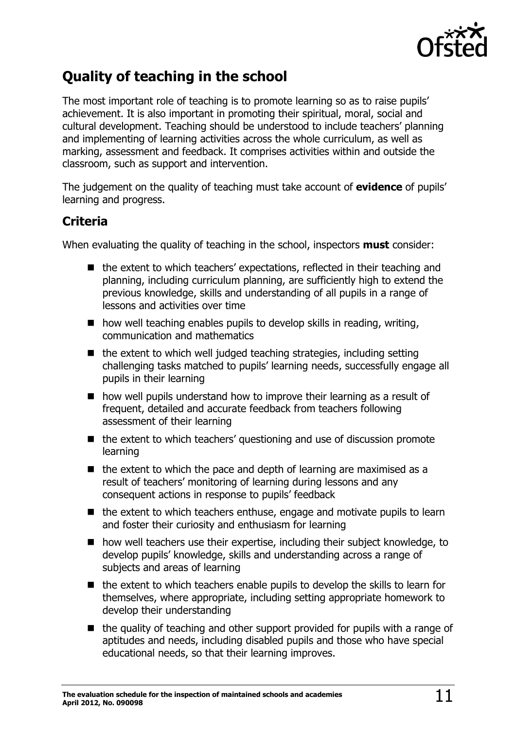

# <span id="page-10-0"></span>**Quality of teaching in the school**

The most important role of teaching is to promote learning so as to raise pupils' achievement. It is also important in promoting their spiritual, moral, social and cultural development. Teaching should be understood to include teachers' planning and implementing of learning activities across the whole curriculum, as well as marking, assessment and feedback. It comprises activities within and outside the classroom, such as support and intervention.

The judgement on the quality of teaching must take account of **evidence** of pupils' learning and progress.

#### <span id="page-10-1"></span>**Criteria**

When evaluating the quality of teaching in the school, inspectors **must** consider:

- the extent to which teachers' expectations, reflected in their teaching and planning, including curriculum planning, are sufficiently high to extend the previous knowledge, skills and understanding of all pupils in a range of lessons and activities over time
- $\blacksquare$  how well teaching enables pupils to develop skills in reading, writing, communication and mathematics
- $\blacksquare$  the extent to which well judged teaching strategies, including setting challenging tasks matched to pupils' learning needs, successfully engage all pupils in their learning
- $\blacksquare$  how well pupils understand how to improve their learning as a result of frequent, detailed and accurate feedback from teachers following assessment of their learning
- $\blacksquare$  the extent to which teachers' questioning and use of discussion promote learning
- $\blacksquare$  the extent to which the pace and depth of learning are maximised as a result of teachers' monitoring of learning during lessons and any consequent actions in response to pupils' feedback
- $\blacksquare$  the extent to which teachers enthuse, engage and motivate pupils to learn and foster their curiosity and enthusiasm for learning
- how well teachers use their expertise, including their subject knowledge, to develop pupils' knowledge, skills and understanding across a range of subjects and areas of learning
- $\blacksquare$  the extent to which teachers enable pupils to develop the skills to learn for themselves, where appropriate, including setting appropriate homework to develop their understanding
- $\blacksquare$  the quality of teaching and other support provided for pupils with a range of aptitudes and needs, including disabled pupils and those who have special educational needs, so that their learning improves.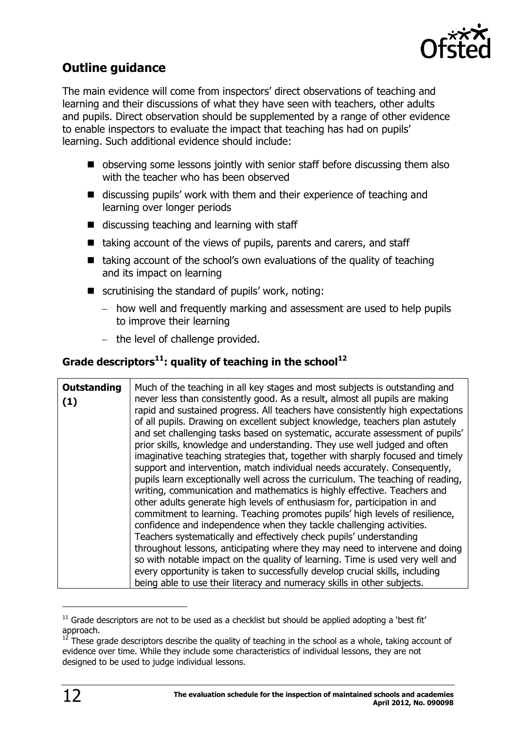

## <span id="page-11-0"></span>**Outline guidance**

The main evidence will come from inspectors' direct observations of teaching and learning and their discussions of what they have seen with teachers, other adults and pupils. Direct observation should be supplemented by a range of other evidence to enable inspectors to evaluate the impact that teaching has had on pupils' learning. Such additional evidence should include:

- observing some lessons jointly with senior staff before discussing them also with the teacher who has been observed
- discussing pupils' work with them and their experience of teaching and learning over longer periods
- $\blacksquare$  discussing teaching and learning with staff
- $\blacksquare$  taking account of the views of pupils, parents and carers, and staff
- $\blacksquare$  taking account of the school's own evaluations of the quality of teaching and its impact on learning
- $\blacksquare$  scrutinising the standard of pupils' work, noting:
	- how well and frequently marking and assessment are used to help pupils to improve their learning
	- $-$  the level of challenge provided.

#### **Grade descriptors<sup>11</sup>: quality of teaching in the school<sup>12</sup>**

| <b>Outstanding</b><br>(1) | Much of the teaching in all key stages and most subjects is outstanding and<br>never less than consistently good. As a result, almost all pupils are making<br>rapid and sustained progress. All teachers have consistently high expectations<br>of all pupils. Drawing on excellent subject knowledge, teachers plan astutely<br>and set challenging tasks based on systematic, accurate assessment of pupils'<br>prior skills, knowledge and understanding. They use well judged and often<br>imaginative teaching strategies that, together with sharply focused and timely<br>support and intervention, match individual needs accurately. Consequently,<br>pupils learn exceptionally well across the curriculum. The teaching of reading,<br>writing, communication and mathematics is highly effective. Teachers and<br>other adults generate high levels of enthusiasm for, participation in and<br>commitment to learning. Teaching promotes pupils' high levels of resilience,<br>confidence and independence when they tackle challenging activities.<br>Teachers systematically and effectively check pupils' understanding<br>throughout lessons, anticipating where they may need to intervene and doing<br>so with notable impact on the quality of learning. Time is used very well and |
|---------------------------|---------------------------------------------------------------------------------------------------------------------------------------------------------------------------------------------------------------------------------------------------------------------------------------------------------------------------------------------------------------------------------------------------------------------------------------------------------------------------------------------------------------------------------------------------------------------------------------------------------------------------------------------------------------------------------------------------------------------------------------------------------------------------------------------------------------------------------------------------------------------------------------------------------------------------------------------------------------------------------------------------------------------------------------------------------------------------------------------------------------------------------------------------------------------------------------------------------------------------------------------------------------------------------------------------------|
|                           | every opportunity is taken to successfully develop crucial skills, including<br>being able to use their literacy and numeracy skills in other subjects.                                                                                                                                                                                                                                                                                                                                                                                                                                                                                                                                                                                                                                                                                                                                                                                                                                                                                                                                                                                                                                                                                                                                                 |

 $11$  Grade descriptors are not to be used as a checklist but should be applied adopting a 'best fit' approach.

 $12$  These grade descriptors describe the quality of teaching in the school as a whole, taking account of evidence over time. While they include some characteristics of individual lessons, they are not designed to be used to judge individual lessons.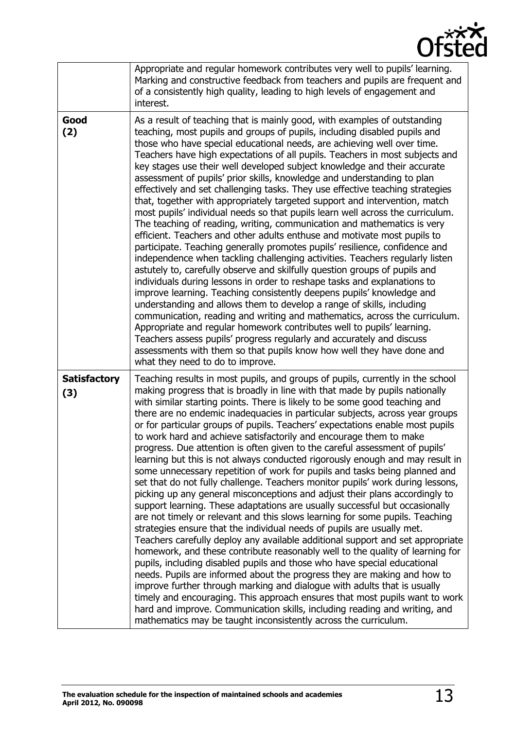

|                            | Appropriate and regular homework contributes very well to pupils' learning.<br>Marking and constructive feedback from teachers and pupils are frequent and<br>of a consistently high quality, leading to high levels of engagement and<br>interest.                                                                                                                                                                                                                                                                                                                                                                                                                                                                                                                                                                                                                                                                                                                                                                                                                                                                                                                                                                                                                                                                                                                                                                                                                                                                                                                                                                                                                                                                                                                               |
|----------------------------|-----------------------------------------------------------------------------------------------------------------------------------------------------------------------------------------------------------------------------------------------------------------------------------------------------------------------------------------------------------------------------------------------------------------------------------------------------------------------------------------------------------------------------------------------------------------------------------------------------------------------------------------------------------------------------------------------------------------------------------------------------------------------------------------------------------------------------------------------------------------------------------------------------------------------------------------------------------------------------------------------------------------------------------------------------------------------------------------------------------------------------------------------------------------------------------------------------------------------------------------------------------------------------------------------------------------------------------------------------------------------------------------------------------------------------------------------------------------------------------------------------------------------------------------------------------------------------------------------------------------------------------------------------------------------------------------------------------------------------------------------------------------------------------|
| Good<br>(2)                | As a result of teaching that is mainly good, with examples of outstanding<br>teaching, most pupils and groups of pupils, including disabled pupils and<br>those who have special educational needs, are achieving well over time.<br>Teachers have high expectations of all pupils. Teachers in most subjects and<br>key stages use their well developed subject knowledge and their accurate<br>assessment of pupils' prior skills, knowledge and understanding to plan<br>effectively and set challenging tasks. They use effective teaching strategies<br>that, together with appropriately targeted support and intervention, match<br>most pupils' individual needs so that pupils learn well across the curriculum.<br>The teaching of reading, writing, communication and mathematics is very<br>efficient. Teachers and other adults enthuse and motivate most pupils to<br>participate. Teaching generally promotes pupils' resilience, confidence and<br>independence when tackling challenging activities. Teachers regularly listen<br>astutely to, carefully observe and skilfully question groups of pupils and<br>individuals during lessons in order to reshape tasks and explanations to<br>improve learning. Teaching consistently deepens pupils' knowledge and<br>understanding and allows them to develop a range of skills, including<br>communication, reading and writing and mathematics, across the curriculum.<br>Appropriate and regular homework contributes well to pupils' learning.<br>Teachers assess pupils' progress regularly and accurately and discuss<br>assessments with them so that pupils know how well they have done and<br>what they need to do to improve.                                                                         |
| <b>Satisfactory</b><br>(3) | Teaching results in most pupils, and groups of pupils, currently in the school<br>making progress that is broadly in line with that made by pupils nationally<br>with similar starting points. There is likely to be some good teaching and<br>there are no endemic inadequacies in particular subjects, across year groups<br>or for particular groups of pupils. Teachers' expectations enable most pupils<br>to work hard and achieve satisfactorily and encourage them to make<br>progress. Due attention is often given to the careful assessment of pupils'<br>learning but this is not always conducted rigorously enough and may result in<br>some unnecessary repetition of work for pupils and tasks being planned and<br>set that do not fully challenge. Teachers monitor pupils' work during lessons,<br>picking up any general misconceptions and adjust their plans accordingly to<br>support learning. These adaptations are usually successful but occasionally<br>are not timely or relevant and this slows learning for some pupils. Teaching<br>strategies ensure that the individual needs of pupils are usually met.<br>Teachers carefully deploy any available additional support and set appropriate<br>homework, and these contribute reasonably well to the quality of learning for<br>pupils, including disabled pupils and those who have special educational<br>needs. Pupils are informed about the progress they are making and how to<br>improve further through marking and dialogue with adults that is usually<br>timely and encouraging. This approach ensures that most pupils want to work<br>hard and improve. Communication skills, including reading and writing, and<br>mathematics may be taught inconsistently across the curriculum. |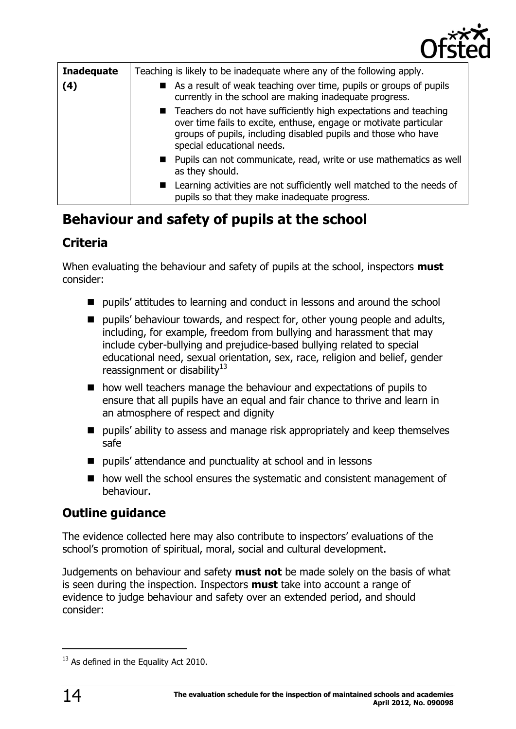

| <b>Inadequate</b><br>(4) | Teaching is likely to be inadequate where any of the following apply.<br>As a result of weak teaching over time, pupils or groups of pupils<br>currently in the school are making inadequate progress.                                  |
|--------------------------|-----------------------------------------------------------------------------------------------------------------------------------------------------------------------------------------------------------------------------------------|
|                          | ■ Teachers do not have sufficiently high expectations and teaching<br>over time fails to excite, enthuse, engage or motivate particular<br>groups of pupils, including disabled pupils and those who have<br>special educational needs. |
|                          | ■ Pupils can not communicate, read, write or use mathematics as well<br>as they should.                                                                                                                                                 |
|                          | Learning activities are not sufficiently well matched to the needs of<br>pupils so that they make inadequate progress.                                                                                                                  |

# <span id="page-13-0"></span>**Behaviour and safety of pupils at the school**

# <span id="page-13-1"></span>**Criteria**

When evaluating the behaviour and safety of pupils at the school, inspectors **must** consider:

- $\blacksquare$  pupils' attitudes to learning and conduct in lessons and around the school
- **P** pupils' behaviour towards, and respect for, other young people and adults, including, for example, freedom from bullying and harassment that may include cyber-bullying and prejudice-based bullying related to special educational need, sexual orientation, sex, race, religion and belief, gender reassignment or disability $13$
- how well teachers manage the behaviour and expectations of pupils to ensure that all pupils have an equal and fair chance to thrive and learn in an atmosphere of respect and dignity
- $\blacksquare$  pupils' ability to assess and manage risk appropriately and keep themselves safe
- pupils' attendance and punctuality at school and in lessons
- how well the school ensures the systematic and consistent management of behaviour.

## <span id="page-13-2"></span>**Outline guidance**

The evidence collected here may also contribute to inspectors' evaluations of the school's promotion of spiritual, moral, social and cultural development.

Judgements on behaviour and safety **must not** be made solely on the basis of what is seen during the inspection. Inspectors **must** take into account a range of evidence to judge behaviour and safety over an extended period, and should consider:

<sup>&</sup>lt;sup>13</sup> As defined in the Equality Act 2010.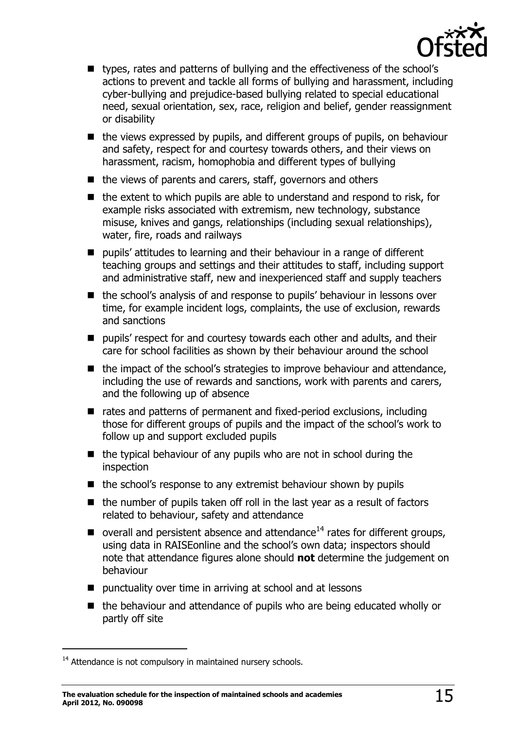

- types, rates and patterns of bullying and the effectiveness of the school's actions to prevent and tackle all forms of bullying and harassment, including cyber-bullying and prejudice-based bullying related to special educational need, sexual orientation, sex, race, religion and belief, gender reassignment or disability
- $\blacksquare$  the views expressed by pupils, and different groups of pupils, on behaviour and safety, respect for and courtesy towards others, and their views on harassment, racism, homophobia and different types of bullying
- $\blacksquare$  the views of parents and carers, staff, governors and others
- $\blacksquare$  the extent to which pupils are able to understand and respond to risk, for example risks associated with extremism, new technology, substance misuse, knives and gangs, relationships (including sexual relationships), water, fire, roads and railways
- pupils' attitudes to learning and their behaviour in a range of different teaching groups and settings and their attitudes to staff, including support and administrative staff, new and inexperienced staff and supply teachers
- the school's analysis of and response to pupils' behaviour in lessons over time, for example incident logs, complaints, the use of exclusion, rewards and sanctions
- **P** pupils' respect for and courtesy towards each other and adults, and their care for school facilities as shown by their behaviour around the school
- $\blacksquare$  the impact of the school's strategies to improve behaviour and attendance, including the use of rewards and sanctions, work with parents and carers, and the following up of absence
- rates and patterns of permanent and fixed-period exclusions, including those for different groups of pupils and the impact of the school's work to follow up and support excluded pupils
- $\blacksquare$  the typical behaviour of any pupils who are not in school during the inspection
- $\blacksquare$  the school's response to any extremist behaviour shown by pupils
- $\blacksquare$  the number of pupils taken off roll in the last year as a result of factors related to behaviour, safety and attendance
- overall and persistent absence and attendance<sup>14</sup> rates for different groups, using data in RAISEonline and the school's own data; inspectors should note that attendance figures alone should **not** determine the judgement on behaviour
- punctuality over time in arriving at school and at lessons
- the behaviour and attendance of pupils who are being educated wholly or partly off site

 $14$  Attendance is not compulsory in maintained nursery schools.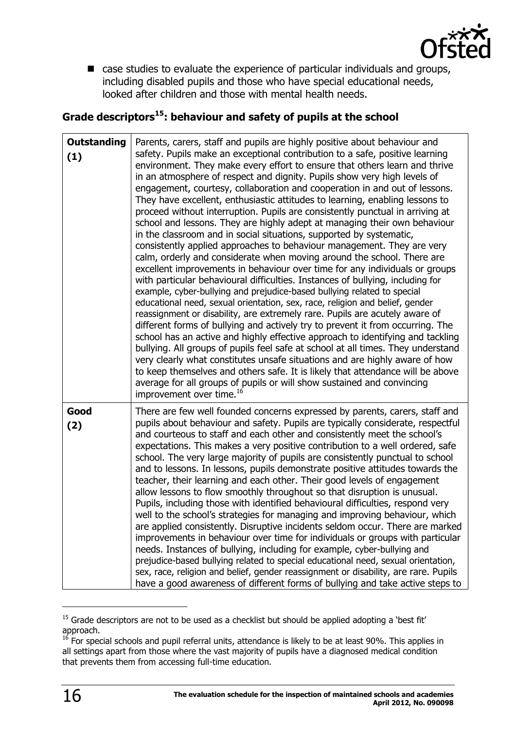

■ case studies to evaluate the experience of particular individuals and groups, including disabled pupils and those who have special educational needs, looked after children and those with mental health needs.

#### **Grade descriptors<sup>15</sup>: behaviour and safety of pupils at the school**

| <b>Outstanding</b><br>(1) | Parents, carers, staff and pupils are highly positive about behaviour and<br>safety. Pupils make an exceptional contribution to a safe, positive learning<br>environment. They make every effort to ensure that others learn and thrive<br>in an atmosphere of respect and dignity. Pupils show very high levels of<br>engagement, courtesy, collaboration and cooperation in and out of lessons.<br>They have excellent, enthusiastic attitudes to learning, enabling lessons to<br>proceed without interruption. Pupils are consistently punctual in arriving at<br>school and lessons. They are highly adept at managing their own behaviour<br>in the classroom and in social situations, supported by systematic,<br>consistently applied approaches to behaviour management. They are very<br>calm, orderly and considerate when moving around the school. There are<br>excellent improvements in behaviour over time for any individuals or groups<br>with particular behavioural difficulties. Instances of bullying, including for<br>example, cyber-bullying and prejudice-based bullying related to special<br>educational need, sexual orientation, sex, race, religion and belief, gender<br>reassignment or disability, are extremely rare. Pupils are acutely aware of<br>different forms of bullying and actively try to prevent it from occurring. The<br>school has an active and highly effective approach to identifying and tackling<br>bullying. All groups of pupils feel safe at school at all times. They understand<br>very clearly what constitutes unsafe situations and are highly aware of how<br>to keep themselves and others safe. It is likely that attendance will be above<br>average for all groups of pupils or will show sustained and convincing<br>improvement over time. <sup>16</sup> |
|---------------------------|----------------------------------------------------------------------------------------------------------------------------------------------------------------------------------------------------------------------------------------------------------------------------------------------------------------------------------------------------------------------------------------------------------------------------------------------------------------------------------------------------------------------------------------------------------------------------------------------------------------------------------------------------------------------------------------------------------------------------------------------------------------------------------------------------------------------------------------------------------------------------------------------------------------------------------------------------------------------------------------------------------------------------------------------------------------------------------------------------------------------------------------------------------------------------------------------------------------------------------------------------------------------------------------------------------------------------------------------------------------------------------------------------------------------------------------------------------------------------------------------------------------------------------------------------------------------------------------------------------------------------------------------------------------------------------------------------------------------------------------------------------------------------------------------------------------------------------|
| Good<br>(2)               | There are few well founded concerns expressed by parents, carers, staff and<br>pupils about behaviour and safety. Pupils are typically considerate, respectful<br>and courteous to staff and each other and consistently meet the school's<br>expectations. This makes a very positive contribution to a well ordered, safe<br>school. The very large majority of pupils are consistently punctual to school<br>and to lessons. In lessons, pupils demonstrate positive attitudes towards the<br>teacher, their learning and each other. Their good levels of engagement<br>allow lessons to flow smoothly throughout so that disruption is unusual.<br>Pupils, including those with identified behavioural difficulties, respond very<br>well to the school's strategies for managing and improving behaviour, which<br>are applied consistently. Disruptive incidents seldom occur. There are marked<br>improvements in behaviour over time for individuals or groups with particular<br>needs. Instances of bullying, including for example, cyber-bullying and<br>prejudice-based bullying related to special educational need, sexual orientation,<br>sex, race, religion and belief, gender reassignment or disability, are rare. Pupils<br>have a good awareness of different forms of bullying and take active steps to                                                                                                                                                                                                                                                                                                                                                                                                                                                                                                  |

<sup>&</sup>lt;sup>15</sup> Grade descriptors are not to be used as a checklist but should be applied adopting a 'best fit' approach.

 $16$  For special schools and pupil referral units, attendance is likely to be at least 90%. This applies in all settings apart from those where the vast majority of pupils have a diagnosed medical condition that prevents them from accessing full-time education.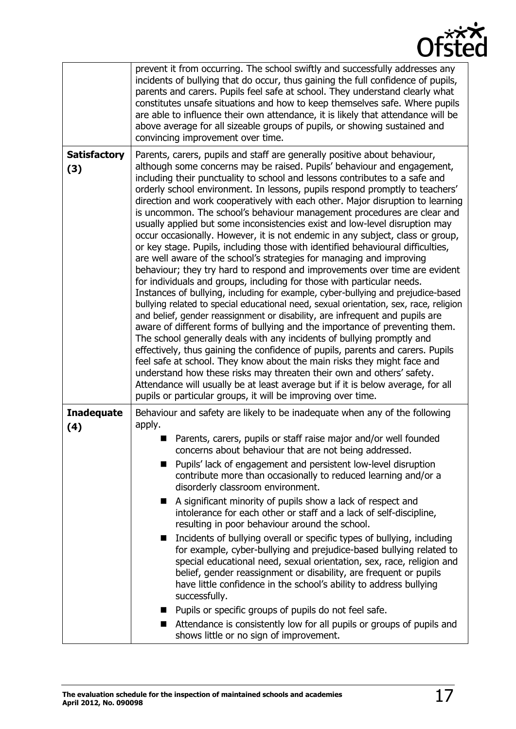

|                            | prevent it from occurring. The school swiftly and successfully addresses any<br>incidents of bullying that do occur, thus gaining the full confidence of pupils,<br>parents and carers. Pupils feel safe at school. They understand clearly what<br>constitutes unsafe situations and how to keep themselves safe. Where pupils<br>are able to influence their own attendance, it is likely that attendance will be<br>above average for all sizeable groups of pupils, or showing sustained and<br>convincing improvement over time.                                                                                                                                                                                                                                                                                                                                                                                                                                                                                                                                                                                                                                                                                                                                                                                                                                                                                                                                                                                                                                                                                                                                                                                                                                               |
|----------------------------|-------------------------------------------------------------------------------------------------------------------------------------------------------------------------------------------------------------------------------------------------------------------------------------------------------------------------------------------------------------------------------------------------------------------------------------------------------------------------------------------------------------------------------------------------------------------------------------------------------------------------------------------------------------------------------------------------------------------------------------------------------------------------------------------------------------------------------------------------------------------------------------------------------------------------------------------------------------------------------------------------------------------------------------------------------------------------------------------------------------------------------------------------------------------------------------------------------------------------------------------------------------------------------------------------------------------------------------------------------------------------------------------------------------------------------------------------------------------------------------------------------------------------------------------------------------------------------------------------------------------------------------------------------------------------------------------------------------------------------------------------------------------------------------|
| <b>Satisfactory</b><br>(3) | Parents, carers, pupils and staff are generally positive about behaviour,<br>although some concerns may be raised. Pupils' behaviour and engagement,<br>including their punctuality to school and lessons contributes to a safe and<br>orderly school environment. In lessons, pupils respond promptly to teachers'<br>direction and work cooperatively with each other. Major disruption to learning<br>is uncommon. The school's behaviour management procedures are clear and<br>usually applied but some inconsistencies exist and low-level disruption may<br>occur occasionally. However, it is not endemic in any subject, class or group,<br>or key stage. Pupils, including those with identified behavioural difficulties,<br>are well aware of the school's strategies for managing and improving<br>behaviour; they try hard to respond and improvements over time are evident<br>for individuals and groups, including for those with particular needs.<br>Instances of bullying, including for example, cyber-bullying and prejudice-based<br>bullying related to special educational need, sexual orientation, sex, race, religion<br>and belief, gender reassignment or disability, are infrequent and pupils are<br>aware of different forms of bullying and the importance of preventing them.<br>The school generally deals with any incidents of bullying promptly and<br>effectively, thus gaining the confidence of pupils, parents and carers. Pupils<br>feel safe at school. They know about the main risks they might face and<br>understand how these risks may threaten their own and others' safety.<br>Attendance will usually be at least average but if it is below average, for all<br>pupils or particular groups, it will be improving over time. |
| <b>Inadequate</b><br>(4)   | Behaviour and safety are likely to be inadequate when any of the following<br>apply.<br>Parents, carers, pupils or staff raise major and/or well founded<br>concerns about behaviour that are not being addressed.<br>Pupils' lack of engagement and persistent low-level disruption<br>contribute more than occasionally to reduced learning and/or a<br>disorderly classroom environment.<br>A significant minority of pupils show a lack of respect and<br>ш<br>intolerance for each other or staff and a lack of self-discipline,<br>resulting in poor behaviour around the school.<br>Incidents of bullying overall or specific types of bullying, including<br>■<br>for example, cyber-bullying and prejudice-based bullying related to<br>special educational need, sexual orientation, sex, race, religion and<br>belief, gender reassignment or disability, are frequent or pupils<br>have little confidence in the school's ability to address bullying<br>successfully.<br>Pupils or specific groups of pupils do not feel safe.<br>Attendance is consistently low for all pupils or groups of pupils and<br>shows little or no sign of improvement.                                                                                                                                                                                                                                                                                                                                                                                                                                                                                                                                                                                                                     |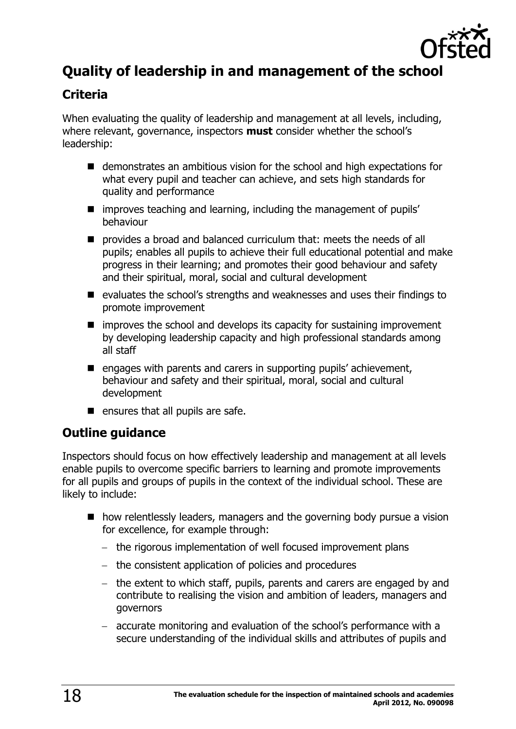

# <span id="page-17-0"></span>**Quality of leadership in and management of the school**

## <span id="page-17-1"></span>**Criteria**

When evaluating the quality of leadership and management at all levels, including, where relevant, governance, inspectors **must** consider whether the school's leadership:

- demonstrates an ambitious vision for the school and high expectations for what every pupil and teacher can achieve, and sets high standards for quality and performance
- $\blacksquare$  improves teaching and learning, including the management of pupils' behaviour
- **P** provides a broad and balanced curriculum that: meets the needs of all pupils; enables all pupils to achieve their full educational potential and make progress in their learning; and promotes their good behaviour and safety and their spiritual, moral, social and cultural development
- evaluates the school's strengths and weaknesses and uses their findings to promote improvement
- $\blacksquare$  improves the school and develops its capacity for sustaining improvement by developing leadership capacity and high professional standards among all staff
- $\blacksquare$  engages with parents and carers in supporting pupils' achievement, behaviour and safety and their spiritual, moral, social and cultural development
- $\blacksquare$  ensures that all pupils are safe.

## <span id="page-17-2"></span>**Outline guidance**

Inspectors should focus on how effectively leadership and management at all levels enable pupils to overcome specific barriers to learning and promote improvements for all pupils and groups of pupils in the context of the individual school. These are likely to include:

- how relentlessly leaders, managers and the governing body pursue a vision for excellence, for example through:
	- the rigorous implementation of well focused improvement plans
	- the consistent application of policies and procedures
	- the extent to which staff, pupils, parents and carers are engaged by and contribute to realising the vision and ambition of leaders, managers and governors
	- accurate monitoring and evaluation of the school's performance with a secure understanding of the individual skills and attributes of pupils and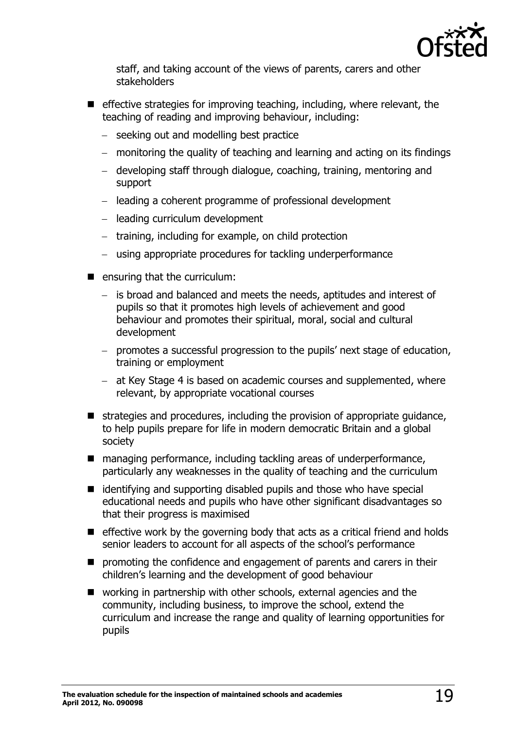

staff, and taking account of the views of parents, carers and other stakeholders

- $\blacksquare$  effective strategies for improving teaching, including, where relevant, the teaching of reading and improving behaviour, including:
	- seeking out and modelling best practice
	- monitoring the quality of teaching and learning and acting on its findings
	- developing staff through dialogue, coaching, training, mentoring and support
	- leading a coherent programme of professional development
	- $-$  leading curriculum development
	- training, including for example, on child protection
	- using appropriate procedures for tackling underperformance
- $\blacksquare$  ensuring that the curriculum:
	- is broad and balanced and meets the needs, aptitudes and interest of pupils so that it promotes high levels of achievement and good behaviour and promotes their spiritual, moral, social and cultural development
	- promotes a successful progression to the pupils' next stage of education, training or employment
	- at Key Stage 4 is based on academic courses and supplemented, where relevant, by appropriate vocational courses
- $\blacksquare$  strategies and procedures, including the provision of appropriate guidance, to help pupils prepare for life in modern democratic Britain and a global society
- managing performance, including tackling areas of underperformance, particularly any weaknesses in the quality of teaching and the curriculum
- $\blacksquare$  identifying and supporting disabled pupils and those who have special educational needs and pupils who have other significant disadvantages so that their progress is maximised
- $\blacksquare$  effective work by the governing body that acts as a critical friend and holds senior leaders to account for all aspects of the school's performance
- **P** promoting the confidence and engagement of parents and carers in their children's learning and the development of good behaviour
- working in partnership with other schools, external agencies and the community, including business, to improve the school, extend the curriculum and increase the range and quality of learning opportunities for pupils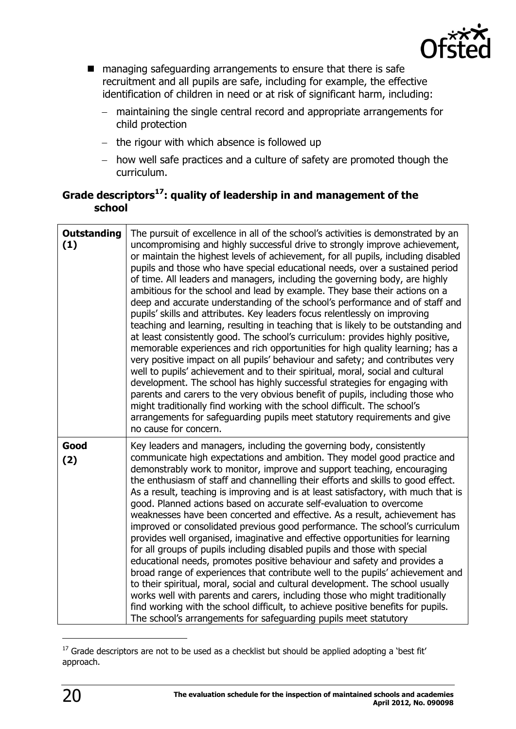

- managing safeguarding arrangements to ensure that there is safe recruitment and all pupils are safe, including for example, the effective identification of children in need or at risk of significant harm, including:
	- maintaining the single central record and appropriate arrangements for child protection
	- $-$  the rigour with which absence is followed up
	- how well safe practices and a culture of safety are promoted though the curriculum.

#### **Grade descriptors<sup>17</sup>: quality of leadership in and management of the school**

| <b>Outstanding</b><br>(1) | The pursuit of excellence in all of the school's activities is demonstrated by an<br>uncompromising and highly successful drive to strongly improve achievement,<br>or maintain the highest levels of achievement, for all pupils, including disabled<br>pupils and those who have special educational needs, over a sustained period<br>of time. All leaders and managers, including the governing body, are highly<br>ambitious for the school and lead by example. They base their actions on a<br>deep and accurate understanding of the school's performance and of staff and<br>pupils' skills and attributes. Key leaders focus relentlessly on improving<br>teaching and learning, resulting in teaching that is likely to be outstanding and<br>at least consistently good. The school's curriculum: provides highly positive,<br>memorable experiences and rich opportunities for high quality learning; has a<br>very positive impact on all pupils' behaviour and safety; and contributes very<br>well to pupils' achievement and to their spiritual, moral, social and cultural<br>development. The school has highly successful strategies for engaging with<br>parents and carers to the very obvious benefit of pupils, including those who<br>might traditionally find working with the school difficult. The school's<br>arrangements for safeguarding pupils meet statutory requirements and give<br>no cause for concern. |
|---------------------------|-----------------------------------------------------------------------------------------------------------------------------------------------------------------------------------------------------------------------------------------------------------------------------------------------------------------------------------------------------------------------------------------------------------------------------------------------------------------------------------------------------------------------------------------------------------------------------------------------------------------------------------------------------------------------------------------------------------------------------------------------------------------------------------------------------------------------------------------------------------------------------------------------------------------------------------------------------------------------------------------------------------------------------------------------------------------------------------------------------------------------------------------------------------------------------------------------------------------------------------------------------------------------------------------------------------------------------------------------------------------------------------------------------------------------------------------------|
| Good<br>(2)               | Key leaders and managers, including the governing body, consistently<br>communicate high expectations and ambition. They model good practice and<br>demonstrably work to monitor, improve and support teaching, encouraging<br>the enthusiasm of staff and channelling their efforts and skills to good effect.<br>As a result, teaching is improving and is at least satisfactory, with much that is<br>good. Planned actions based on accurate self-evaluation to overcome<br>weaknesses have been concerted and effective. As a result, achievement has<br>improved or consolidated previous good performance. The school's curriculum<br>provides well organised, imaginative and effective opportunities for learning<br>for all groups of pupils including disabled pupils and those with special<br>educational needs, promotes positive behaviour and safety and provides a<br>broad range of experiences that contribute well to the pupils' achievement and<br>to their spiritual, moral, social and cultural development. The school usually<br>works well with parents and carers, including those who might traditionally<br>find working with the school difficult, to achieve positive benefits for pupils.<br>The school's arrangements for safeguarding pupils meet statutory                                                                                                                                                |

 $17$  Grade descriptors are not to be used as a checklist but should be applied adopting a 'best fit' approach.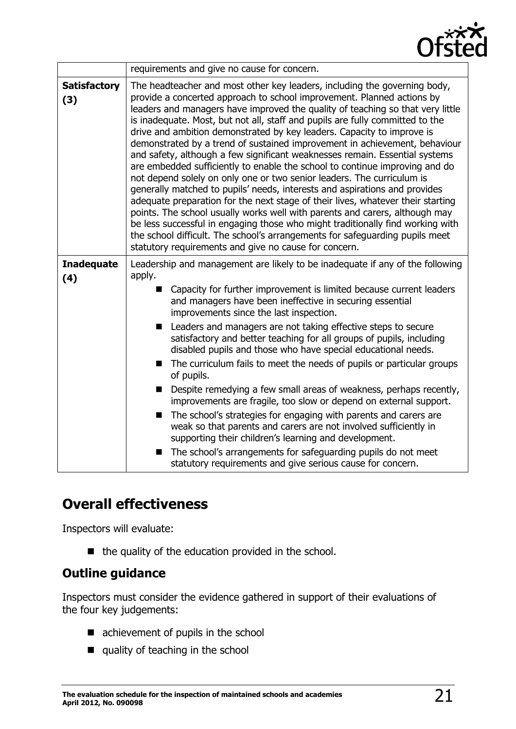

|                            | requirements and give no cause for concern.                                                                                                                                                                                                                                                                                                                                                                                                                                                                                                                                                                                                                                                                                                                                                                                                                                                                                                                                                                                                                                                                                                                                                       |
|----------------------------|---------------------------------------------------------------------------------------------------------------------------------------------------------------------------------------------------------------------------------------------------------------------------------------------------------------------------------------------------------------------------------------------------------------------------------------------------------------------------------------------------------------------------------------------------------------------------------------------------------------------------------------------------------------------------------------------------------------------------------------------------------------------------------------------------------------------------------------------------------------------------------------------------------------------------------------------------------------------------------------------------------------------------------------------------------------------------------------------------------------------------------------------------------------------------------------------------|
| <b>Satisfactory</b><br>(3) | The headteacher and most other key leaders, including the governing body,<br>provide a concerted approach to school improvement. Planned actions by<br>leaders and managers have improved the quality of teaching so that very little<br>is inadequate. Most, but not all, staff and pupils are fully committed to the<br>drive and ambition demonstrated by key leaders. Capacity to improve is<br>demonstrated by a trend of sustained improvement in achievement, behaviour<br>and safety, although a few significant weaknesses remain. Essential systems<br>are embedded sufficiently to enable the school to continue improving and do<br>not depend solely on only one or two senior leaders. The curriculum is<br>generally matched to pupils' needs, interests and aspirations and provides<br>adequate preparation for the next stage of their lives, whatever their starting<br>points. The school usually works well with parents and carers, although may<br>be less successful in engaging those who might traditionally find working with<br>the school difficult. The school's arrangements for safeguarding pupils meet<br>statutory requirements and give no cause for concern. |
| <b>Inadequate</b><br>(4)   | Leadership and management are likely to be inadequate if any of the following<br>apply.<br>Capacity for further improvement is limited because current leaders<br>■<br>and managers have been ineffective in securing essential<br>improvements since the last inspection.<br>Leaders and managers are not taking effective steps to secure<br>satisfactory and better teaching for all groups of pupils, including<br>disabled pupils and those who have special educational needs.<br>The curriculum fails to meet the needs of pupils or particular groups<br>ш<br>of pupils.<br>Despite remedying a few small areas of weakness, perhaps recently,<br>$\blacksquare$<br>improvements are fragile, too slow or depend on external support.<br>The school's strategies for engaging with parents and carers are<br>■<br>weak so that parents and carers are not involved sufficiently in<br>supporting their children's learning and development.<br>The school's arrangements for safeguarding pupils do not meet<br>statutory requirements and give serious cause for concern.                                                                                                                |

# <span id="page-20-0"></span>**Overall effectiveness**

Inspectors will evaluate:

 $\blacksquare$  the quality of the education provided in the school.

#### <span id="page-20-1"></span>**Outline guidance**

Inspectors must consider the evidence gathered in support of their evaluations of the four key judgements:

- achievement of pupils in the school
- quality of teaching in the school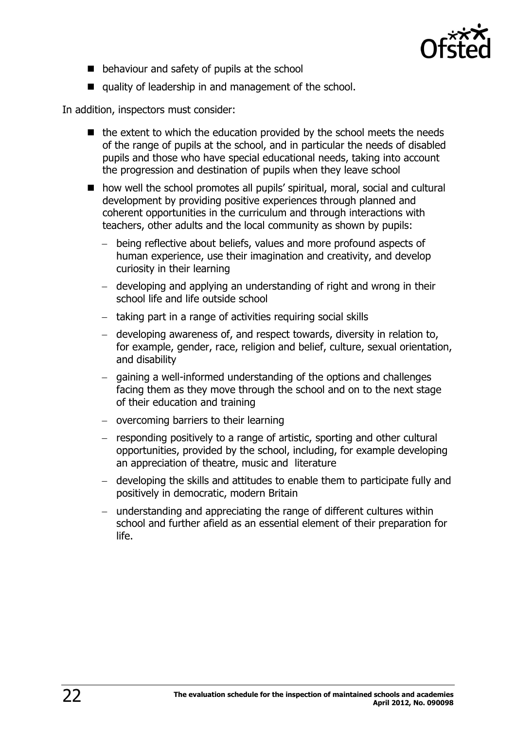

- $\blacksquare$  behaviour and safety of pupils at the school
- quality of leadership in and management of the school.

In addition, inspectors must consider:

- $\blacksquare$  the extent to which the education provided by the school meets the needs of the range of pupils at the school, and in particular the needs of disabled pupils and those who have special educational needs, taking into account the progression and destination of pupils when they leave school
- how well the school promotes all pupils' spiritual, moral, social and cultural development by providing positive experiences through planned and coherent opportunities in the curriculum and through interactions with teachers, other adults and the local community as shown by pupils:
	- being reflective about beliefs, values and more profound aspects of human experience, use their imagination and creativity, and develop curiosity in their learning
	- developing and applying an understanding of right and wrong in their school life and life outside school
	- $-$  taking part in a range of activities requiring social skills
	- developing awareness of, and respect towards, diversity in relation to, for example, gender, race, religion and belief, culture, sexual orientation, and disability
	- gaining a well-informed understanding of the options and challenges facing them as they move through the school and on to the next stage of their education and training
	- $-$  overcoming barriers to their learning
	- responding positively to a range of artistic, sporting and other cultural opportunities, provided by the school, including, for example developing an appreciation of theatre, music and literature
	- developing the skills and attitudes to enable them to participate fully and positively in democratic, modern Britain
	- understanding and appreciating the range of different cultures within school and further afield as an essential element of their preparation for life.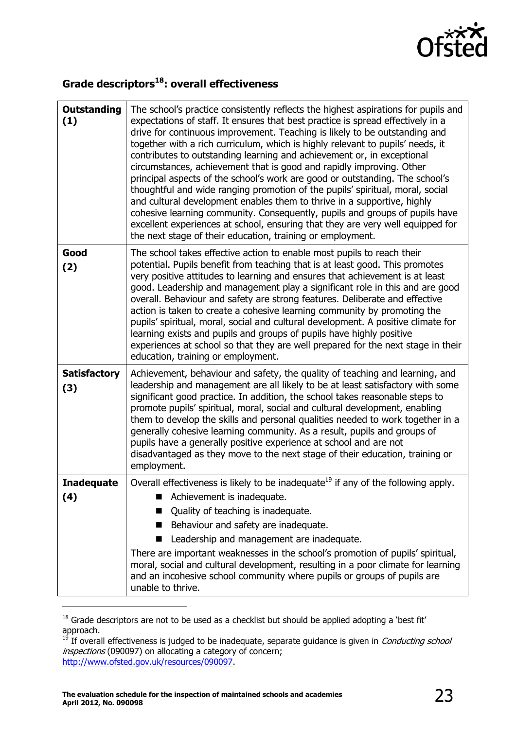

# **Grade descriptors<sup>18</sup>: overall effectiveness**

| <b>Outstanding</b><br>(1)  | The school's practice consistently reflects the highest aspirations for pupils and<br>expectations of staff. It ensures that best practice is spread effectively in a<br>drive for continuous improvement. Teaching is likely to be outstanding and<br>together with a rich curriculum, which is highly relevant to pupils' needs, it<br>contributes to outstanding learning and achievement or, in exceptional<br>circumstances, achievement that is good and rapidly improving. Other<br>principal aspects of the school's work are good or outstanding. The school's<br>thoughtful and wide ranging promotion of the pupils' spiritual, moral, social<br>and cultural development enables them to thrive in a supportive, highly<br>cohesive learning community. Consequently, pupils and groups of pupils have<br>excellent experiences at school, ensuring that they are very well equipped for<br>the next stage of their education, training or employment. |
|----------------------------|--------------------------------------------------------------------------------------------------------------------------------------------------------------------------------------------------------------------------------------------------------------------------------------------------------------------------------------------------------------------------------------------------------------------------------------------------------------------------------------------------------------------------------------------------------------------------------------------------------------------------------------------------------------------------------------------------------------------------------------------------------------------------------------------------------------------------------------------------------------------------------------------------------------------------------------------------------------------|
| Good<br>(2)                | The school takes effective action to enable most pupils to reach their<br>potential. Pupils benefit from teaching that is at least good. This promotes<br>very positive attitudes to learning and ensures that achievement is at least<br>good. Leadership and management play a significant role in this and are good<br>overall. Behaviour and safety are strong features. Deliberate and effective<br>action is taken to create a cohesive learning community by promoting the<br>pupils' spiritual, moral, social and cultural development. A positive climate for<br>learning exists and pupils and groups of pupils have highly positive<br>experiences at school so that they are well prepared for the next stage in their<br>education, training or employment.                                                                                                                                                                                           |
| <b>Satisfactory</b><br>(3) | Achievement, behaviour and safety, the quality of teaching and learning, and<br>leadership and management are all likely to be at least satisfactory with some<br>significant good practice. In addition, the school takes reasonable steps to<br>promote pupils' spiritual, moral, social and cultural development, enabling<br>them to develop the skills and personal qualities needed to work together in a<br>generally cohesive learning community. As a result, pupils and groups of<br>pupils have a generally positive experience at school and are not<br>disadvantaged as they move to the next stage of their education, training or<br>employment.                                                                                                                                                                                                                                                                                                    |
| <b>Inadequate</b><br>(4)   | Overall effectiveness is likely to be inadequate <sup>19</sup> if any of the following apply.<br>Achievement is inadequate.<br>Quality of teaching is inadequate.<br>Behaviour and safety are inadequate.<br>Leadership and management are inadequate.<br>There are important weaknesses in the school's promotion of pupils' spiritual,<br>moral, social and cultural development, resulting in a poor climate for learning<br>and an incohesive school community where pupils or groups of pupils are<br>unable to thrive.                                                                                                                                                                                                                                                                                                                                                                                                                                       |

 $18$  Grade descriptors are not to be used as a checklist but should be applied adopting a 'best fit' approach.

<sup>&</sup>lt;sup>19</sup> If overall effectiveness is judged to be inadequate, separate guidance is given in *Conducting school* inspections (090097) on allocating a category of concern; [http://www.ofsted.gov.uk/resources/090097.](http://www.ofsted.gov.uk/resources/090097)